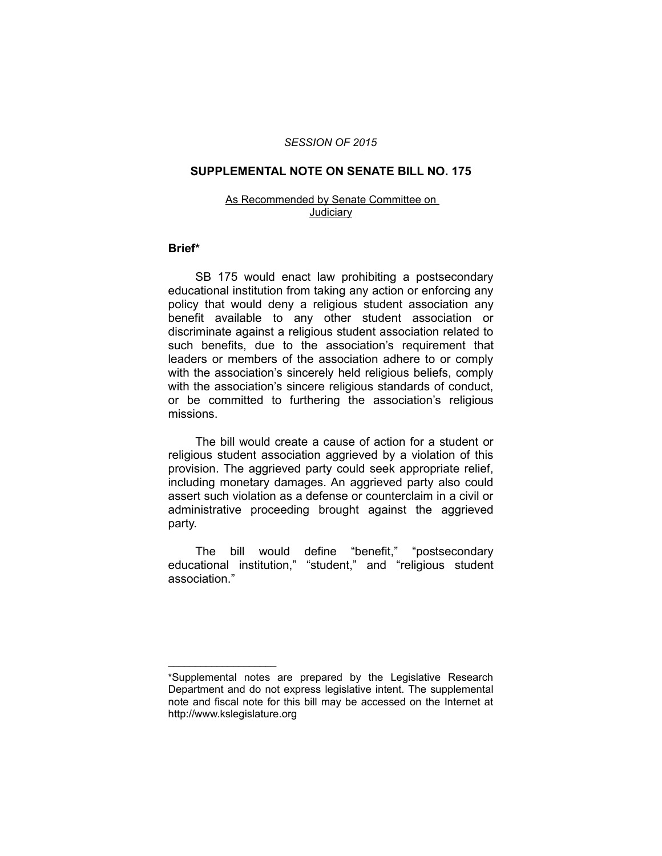#### *SESSION OF 2015*

## **SUPPLEMENTAL NOTE ON SENATE BILL NO. 175**

#### As Recommended by Senate Committee on **Judiciary**

### **Brief\***

SB 175 would enact law prohibiting a postsecondary educational institution from taking any action or enforcing any policy that would deny a religious student association any benefit available to any other student association or discriminate against a religious student association related to such benefits, due to the association's requirement that leaders or members of the association adhere to or comply with the association's sincerely held religious beliefs, comply with the association's sincere religious standards of conduct, or be committed to furthering the association's religious missions.

The bill would create a cause of action for a student or religious student association aggrieved by a violation of this provision. The aggrieved party could seek appropriate relief, including monetary damages. An aggrieved party also could assert such violation as a defense or counterclaim in a civil or administrative proceeding brought against the aggrieved party.

The bill would define "benefit," "postsecondary educational institution," "student," and "religious student association."

 $\overline{\phantom{a}}$  , where  $\overline{\phantom{a}}$  , where  $\overline{\phantom{a}}$ 

<sup>\*</sup>Supplemental notes are prepared by the Legislative Research Department and do not express legislative intent. The supplemental note and fiscal note for this bill may be accessed on the Internet at http://www.kslegislature.org